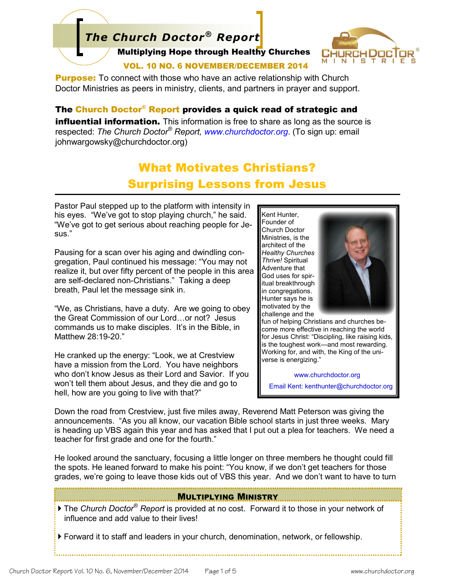# Multiplying Hope through Healthy Churches *The Church Doctor® Report*



#### VOL. 10 NO. 6 NOVEMBER/DECEMBER 2014

**Purpose:** To connect with those who have an active relationship with Church Doctor Ministries as peers in ministry, clients, and partners in prayer and support.

#### The Church Doctor® Report provides a quick read of strategic and

**influential information.** This information is free to share as long as the source is respected: *The Church Doctor® Report, www.churchdoctor.org*. (To sign up: email johnwargowsky@churchdoctor.org)

## What Motivates Christians? Surprising Lessons from Jesus

Pastor Paul stepped up to the platform with intensity in his eyes. "We've got to stop playing church," he said. "We've got to get serious about reaching people for Jesus."

Pausing for a scan over his aging and dwindling congregation, Paul continued his message: "You may not realize it, but over fifty percent of the people in this area are self-declared non-Christians." Taking a deep breath, Paul let the message sink in.

"We, as Christians, have a duty. Are we going to obey the Great Commission of our Lord…or not? Jesus commands us to make disciples. It's in the Bible, in Matthew 28:19-20."

He cranked up the energy: "Look, we at Crestview have a mission from the Lord. You have neighbors who don't know Jesus as their Lord and Savior. If you won't tell them about Jesus, and they die and go to hell, how are you going to live with that?"

Kent Hunter, Founder of Church Doctor Ministries, is the architect of the *Healthy Churches Thrive!* Spiritual Adventure that God uses for spiritual breakthrough in congregations. Hunter says he is motivated by the challenge and the



fun of helping Christians and churches become more effective in reaching the world for Jesus Christ: "Discipling, like raising kids, is the toughest work—and most rewarding. Working for, and with, the King of the universe is energizing."

www.churchdoctor.org Email Kent: kenthunter@churchdoctor.org

Down the road from Crestview, just five miles away, Reverend Matt Peterson was giving the announcements. "As you all know, our vacation Bible school starts in just three weeks. Mary is heading up VBS again this year and has asked that I put out a plea for teachers. We need a teacher for first grade and one for the fourth."

He looked around the sanctuary, focusing a little longer on three members he thought could fill the spots. He leaned forward to make his point: "You know, if we don't get teachers for those grades, we're going to leave those kids out of VBS this year. And we don't want to have to turn

#### **MULTIPLYING MINISTRY**

 The *Church Doctor® Report* is provided at no cost. Forward it to those in your network of influence and add value to their lives!

Forward it to staff and leaders in your church, denomination, network, or fellowship.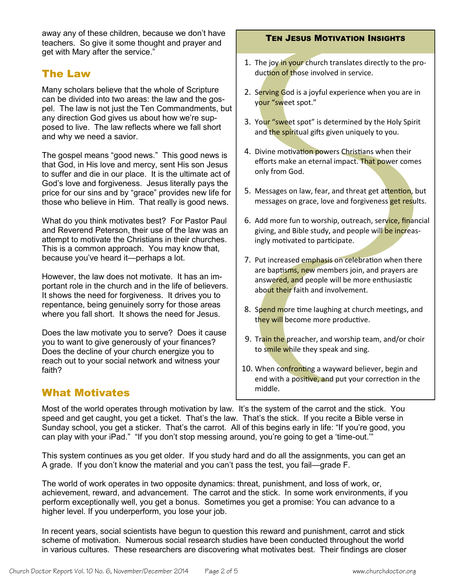away any of these children, because we don't have teachers. So give it some thought and prayer and get with Mary after the service."

### The Law

Many scholars believe that the whole of Scripture can be divided into two areas: the law and the gospel. The law is not just the Ten Commandments, but any direction God gives us about how we're supposed to live. The law reflects where we fall short and why we need a savior.

The gospel means "good news." This good news is that God, in His love and mercy, sent His son Jesus to suffer and die in our place. It is the ultimate act of God's love and forgiveness. Jesus literally pays the price for our sins and by "grace" provides new life for those who believe in Him. That really is good news.

What do you think motivates best? For Pastor Paul and Reverend Peterson, their use of the law was an attempt to motivate the Christians in their churches. This is a common approach. You may know that, because you've heard it—perhaps a lot.

However, the law does not motivate. It has an important role in the church and in the life of believers. It shows the need for forgiveness. It drives you to repentance, being genuinely sorry for those areas where you fall short. It shows the need for Jesus.

Does the law motivate you to serve? Does it cause you to want to give generously of your finances? Does the decline of your church energize you to reach out to your social network and witness your faith?

### What Motivates

#### TEN JESUS MOTIVATION INSIGHTS

- 1. The joy in your church translates directly to the production of those involved in service.
- 2. Serving God is a joyful experience when you are in your "sweet spot."
- 3. Your "sweet spot" is determined by the Holy Spirit and the spiritual gifts given uniquely to you.
- 4. Divine motivation powers Christians when their efforts make an eternal impact. That power comes only from God.
- 5. Messages on law, fear, and threat get attention, but messages on grace, love and forgiveness get results.
- 6. Add more fun to worship, outreach, service, financial giving, and Bible study, and people will be increasingly motivated to participate.
- 7. Put increased emphasis on celebration when there are baptisms, new members join, and prayers are answered, and people will be more enthusiastic about their faith and involvement.
- 8. Spend more time laughing at church meetings, and they will become more productive.
- 9. Train the preacher, and worship team, and/or choir to smile while they speak and sing.
- 10. When confronting a wayward believer, begin and end with a positive, and put your correction in the middle.

Most of the world operates through motivation by law. It's the system of the carrot and the stick. You speed and get caught, you get a ticket. That's the law. That's the stick. If you recite a Bible verse in Sunday school, you get a sticker. That's the carrot. All of this begins early in life: "If you're good, you can play with your iPad." "If you don't stop messing around, you're going to get a 'time-out.'"

This system continues as you get older. If you study hard and do all the assignments, you can get an A grade. If you don't know the material and you can't pass the test, you fail—grade F.

The world of work operates in two opposite dynamics: threat, punishment, and loss of work, or, achievement, reward, and advancement. The carrot and the stick. In some work environments, if you perform exceptionally well, you get a bonus. Sometimes you get a promise: You can advance to a higher level. If you underperform, you lose your job.

In recent years, social scientists have begun to question this reward and punishment, carrot and stick scheme of motivation. Numerous social research studies have been conducted throughout the world in various cultures. These researchers are discovering what motivates best. Their findings are closer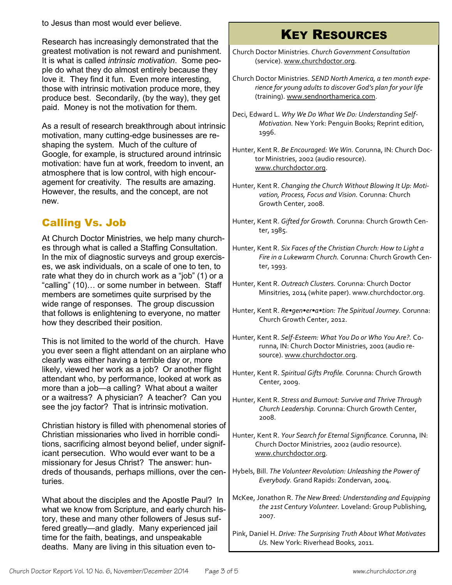to Jesus than most would ever believe.

Research has increasingly demonstrated that the greatest motivation is not reward and punishment. It is what is called *intrinsic motivation*. Some people do what they do almost entirely because they love it. They find it fun. Even more interesting, those with intrinsic motivation produce more, they produce best. Secondarily, (by the way), they get paid. Money is not the motivation for them.

As a result of research breakthrough about intrinsic motivation, many cutting-edge businesses are reshaping the system. Much of the culture of Google, for example, is structured around intrinsic motivation: have fun at work, freedom to invent, an atmosphere that is low control, with high encouragement for creativity. The results are amazing. However, the results, and the concept, are not new.

### Calling Vs. Job

At Church Doctor Ministries, we help many churches through what is called a Staffing Consultation. In the mix of diagnostic surveys and group exercises, we ask individuals, on a scale of one to ten, to rate what they do in church work as a "job" (1) or a "calling" (10)… or some number in between. Staff members are sometimes quite surprised by the wide range of responses. The group discussion that follows is enlightening to everyone, no matter how they described their position.

This is not limited to the world of the church. Have you ever seen a flight attendant on an airplane who clearly was either having a terrible day or, more likely, viewed her work as a job? Or another flight attendant who, by performance, looked at work as more than a job—a calling? What about a waiter or a waitress? A physician? A teacher? Can you see the joy factor? That is intrinsic motivation.

Christian history is filled with phenomenal stories of Christian missionaries who lived in horrible conditions, sacrificing almost beyond belief, under significant persecution. Who would ever want to be a missionary for Jesus Christ? The answer: hundreds of thousands, perhaps millions, over the centuries.

What about the disciples and the Apostle Paul? In what we know from Scripture, and early church history, these and many other followers of Jesus suffered greatly—and gladly. Many experienced jail time for the faith, beatings, and unspeakable deaths. Many are living in this situation even to-

# KEY RESOURCES

- Church Doctor Ministries. *Church Government Consultation* (service). [www.churchdoctor.org.](http://www.churchdoctor.org)
- Church Doctor Ministries. *SEND North America, a ten month experience for young adults to discover God's plan for your life* (training). [www.sendnorthamerica.com.](http://www.sendnorthamerica.com)
- Deci, Edward L. *Why We Do What We Do: Understanding Self-Motivation.* New York: Penguin Books; Reprint edition, 1996.
- Hunter, Kent R. *Be Encouraged: We Win.* Corunna, IN: Church Doctor Ministries, 2002 (audio resource). [www.churchdoctor.org.](file:///F:/Church%20Doctor%20Report/Vol.%2010/Vol.%2010%20No.%203/www.churchdoctor.org)
- Hunter, Kent R. *Changing the Church Without Blowing It Up: Motivation, Process, Focus and Vision.* Corunna: Church Growth Center, 2008.
- Hunter, Kent R. *Gifted for Growth.* Corunna: Church Growth Center, 1985.
- Hunter, Kent R. *Six Faces of the Christian Church: How to Light a Fire in a Lukewarm Church.* Corunna: Church Growth Center, 1993.
- Hunter, Kent R. *Outreach Clusters.* Corunna: Church Doctor Minsitries, 2014 (white paper). www.churchdoctor.org.
- Hunter, Kent R. *Re•gen•er•a•tion: The Spiritual Journey.* Corunna: Church Growth Center, 2012.
- Hunter, Kent R. *Self-Esteem: What You Do or Who You Are?.* Corunna, IN: Church Doctor Ministries, 2001 (audio resource). [www.churchdoctor.org.](file:///F:/Church%20Doctor%20Report/Vol.%2010/Vol.%2010%20No.%203/www.churchdoctor.org)
- Hunter, Kent R. *Spiritual Gifts Profile.* Corunna: Church Growth Center, 2009.
- Hunter, Kent R. *Stress and Burnout: Survive and Thrive Through Church Leadership.* Corunna: Church Growth Center, 2008.
- Hunter, Kent R. *Your Search for Eternal Significance.* Corunna, IN: Church Doctor Ministries, 2002 (audio resource). [www.churchdoctor.org.](file:///F:/Church%20Doctor%20Report/Vol.%2010/Vol.%2010%20No.%203/www.churchdoctor.org)
- Hybels, Bill. *The Volunteer Revolution: Unleashing the Power of Everybody.* Grand Rapids: Zondervan, 2004.
- McKee, Jonathon R. *The New Breed: Understanding and Equipping the 21st Century Volunteer.* Loveland: Group Publishing, 2007.
- Pink, Daniel H. *Drive: The Surprising Truth About What Motivates Us.* New York: Riverhead Books, 2011.